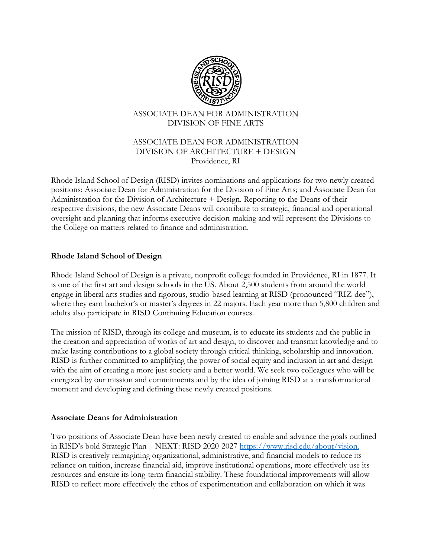

### ASSOCIATE DEAN FOR ADMINISTRATION DIVISION OF FINE ARTS

### ASSOCIATE DEAN FOR ADMINISTRATION DIVISION OF ARCHITECTURE + DESIGN Providence, RI

Rhode Island School of Design (RISD) invites nominations and applications for two newly created positions: Associate Dean for Administration for the Division of Fine Arts; and Associate Dean for Administration for the Division of Architecture + Design. Reporting to the Deans of their respective divisions, the new Associate Deans will contribute to strategic, financial and operational oversight and planning that informs executive decision-making and will represent the Divisions to the College on matters related to finance and administration.

### **Rhode Island School of Design**

Rhode Island School of Design is a private, nonprofit college founded in Providence, RI in 1877. It is one of the first art and design schools in the US. About 2,500 students from around the world engage in liberal arts studies and rigorous, studio-based learning at RISD (pronounced "RIZ-dee"), where they earn bachelor's or master's degrees in 22 majors. Each year more than 5,800 children and adults also participate in RISD Continuing Education courses.

The mission of RISD, through its college and museum, is to educate its students and the public in the creation and appreciation of works of art and design, to discover and transmit knowledge and to make lasting contributions to a global society through critical thinking, scholarship and innovation. RISD is further committed to amplifying the power of social equity and inclusion in art and design with the aim of creating a more just society and a better world. We seek two colleagues who will be energized by our mission and commitments and by the idea of joining RISD at a transformational moment and developing and defining these newly created positions.

### **Associate Deans for Administration**

Two positions of Associate Dean have been newly created to enable and advance the goals outlined in RISD's bold Strategic Plan – NEXT: RISD 2020-2027 https://www.risd.edu/about/vision. RISD is creatively reimagining organizational, administrative, and financial models to reduce its reliance on tuition, increase financial aid, improve institutional operations, more effectively use its resources and ensure its long-term financial stability. These foundational improvements will allow RISD to reflect more effectively the ethos of experimentation and collaboration on which it was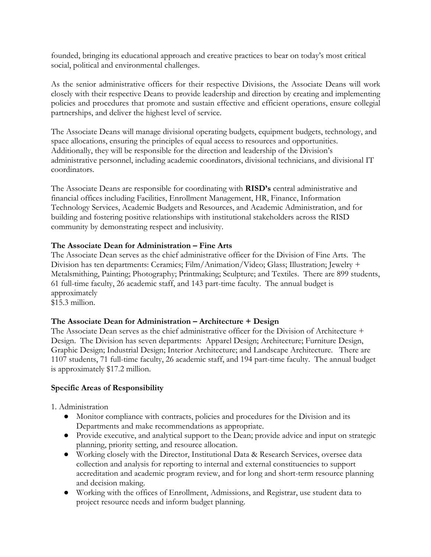founded, bringing its educational approach and creative practices to bear on today's most critical social, political and environmental challenges.

As the senior administrative officers for their respective Divisions, the Associate Deans will work closely with their respective Deans to provide leadership and direction by creating and implementing policies and procedures that promote and sustain effective and efficient operations, ensure collegial partnerships, and deliver the highest level of service.

The Associate Deans will manage divisional operating budgets, equipment budgets, technology, and space allocations, ensuring the principles of equal access to resources and opportunities. Additionally, they will be responsible for the direction and leadership of the Division's administrative personnel, including academic coordinators, divisional technicians, and divisional IT coordinators.

The Associate Deans are responsible for coordinating with **RISD's** central administrative and financial offices including Facilities, Enrollment Management, HR, Finance, Information Technology Services, Academic Budgets and Resources, and Academic Administration, and for building and fostering positive relationships with institutional stakeholders across the RISD community by demonstrating respect and inclusivity.

## **The Associate Dean for Administration – Fine Arts**

The Associate Dean serves as the chief administrative officer for the Division of Fine Arts. The Division has ten departments: Ceramics; Film/Animation/Video; Glass; Illustration; Jewelry + Metalsmithing, Painting; Photography; Printmaking; Sculpture; and Textiles. There are 899 students, 61 full-time faculty, 26 academic staff, and 143 part-time faculty. The annual budget is approximately

\$15.3 million.

# **The Associate Dean for Administration – Architecture + Design**

The Associate Dean serves as the chief administrative officer for the Division of Architecture + Design. The Division has seven departments: Apparel Design; Architecture; Furniture Design, Graphic Design; Industrial Design; Interior Architecture; and Landscape Architecture. There are 1107 students, 71 full-time faculty, 26 academic staff, and 194 part-time faculty. The annual budget is approximately \$17.2 million.

### **Specific Areas of Responsibility**

1. Administration

- Monitor compliance with contracts, policies and procedures for the Division and its Departments and make recommendations as appropriate.
- Provide executive, and analytical support to the Dean; provide advice and input on strategic planning, priority setting, and resource allocation.
- Working closely with the Director, Institutional Data & Research Services, oversee data collection and analysis for reporting to internal and external constituencies to support accreditation and academic program review, and for long and short-term resource planning and decision making.
- Working with the offices of Enrollment, Admissions, and Registrar, use student data to project resource needs and inform budget planning.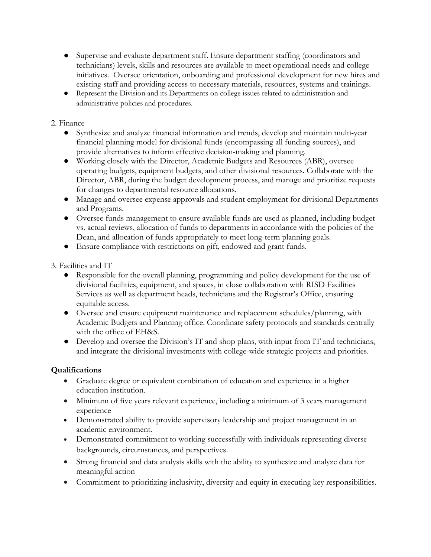- Supervise and evaluate department staff. Ensure department staffing (coordinators and technicians) levels, skills and resources are available to meet operational needs and college initiatives. Oversee orientation, onboarding and professional development for new hires and existing staff and providing access to necessary materials, resources, systems and trainings.
- Represent the Division and its Departments on college issues related to administration and administrative policies and procedures.

## 2. Finance

- Synthesize and analyze financial information and trends, develop and maintain multi-year financial planning model for divisional funds (encompassing all funding sources), and provide alternatives to inform effective decision-making and planning.
- Working closely with the Director, Academic Budgets and Resources (ABR), oversee operating budgets, equipment budgets, and other divisional resources. Collaborate with the Director, ABR, during the budget development process, and manage and prioritize requests for changes to departmental resource allocations.
- Manage and oversee expense approvals and student employment for divisional Departments and Programs.
- Oversee funds management to ensure available funds are used as planned, including budget vs. actual reviews, allocation of funds to departments in accordance with the policies of the Dean, and allocation of funds appropriately to meet long-term planning goals.
- Ensure compliance with restrictions on gift, endowed and grant funds.
- 3. Facilities and IT
	- Responsible for the overall planning, programming and policy development for the use of divisional facilities, equipment, and spaces, in close collaboration with RISD Facilities Services as well as department heads, technicians and the Registrar's Office, ensuring equitable access.
	- Oversee and ensure equipment maintenance and replacement schedules/planning, with Academic Budgets and Planning office. Coordinate safety protocols and standards centrally with the office of EH&S.
	- Develop and oversee the Division's IT and shop plans, with input from IT and technicians, and integrate the divisional investments with college-wide strategic projects and priorities.

# **Qualifications**

- Graduate degree or equivalent combination of education and experience in a higher education institution.
- Minimum of five years relevant experience, including a minimum of 3 years management experience
- Demonstrated ability to provide supervisory leadership and project management in an academic environment.
- Demonstrated commitment to working successfully with individuals representing diverse backgrounds, circumstances, and perspectives.
- Strong financial and data analysis skills with the ability to synthesize and analyze data for meaningful action
- Commitment to prioritizing inclusivity, diversity and equity in executing key responsibilities.